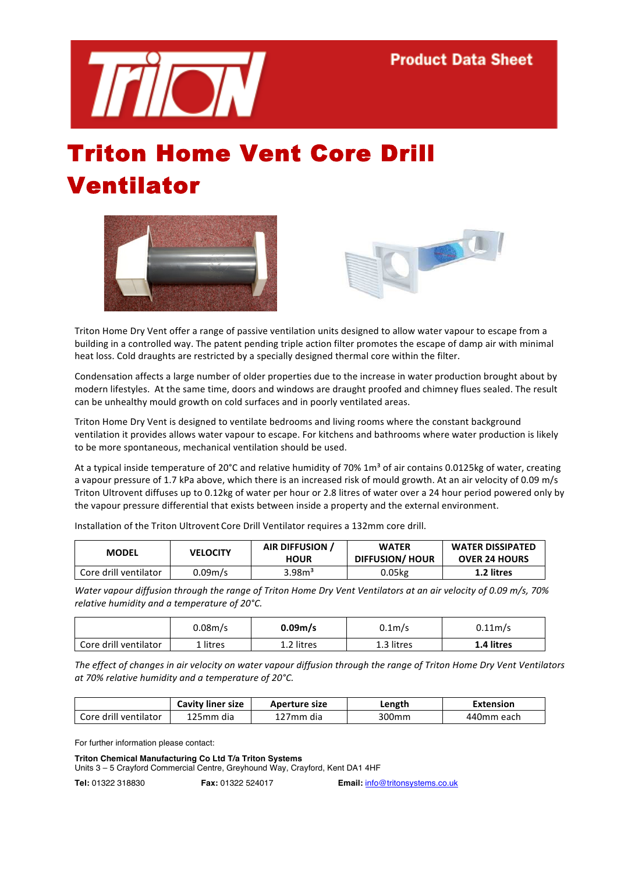

## Triton Home Vent Core Drill Ventilator





Triton Home Dry Vent offer a range of passive ventilation units designed to allow water vapour to escape from a building in a controlled way. The patent pending triple action filter promotes the escape of damp air with minimal heat loss. Cold draughts are restricted by a specially designed thermal core within the filter.

Condensation affects a large number of older properties due to the increase in water production brought about by modern lifestyles. At the same time, doors and windows are draught proofed and chimney flues sealed. The result can be unhealthy mould growth on cold surfaces and in poorly ventilated areas.

Triton Home Dry Vent is designed to ventilate bedrooms and living rooms where the constant background ventilation it provides allows water vapour to escape. For kitchens and bathrooms where water production is likely to be more spontaneous, mechanical ventilation should be used.

At a typical inside temperature of 20°C and relative humidity of 70% 1m<sup>3</sup> of air contains 0.0125kg of water, creating a vapour pressure of 1.7 kPa above, which there is an increased risk of mould growth. At an air velocity of 0.09 m/s Triton Ultrovent diffuses up to 0.12kg of water per hour or 2.8 litres of water over a 24 hour period powered only by the vapour pressure differential that exists between inside a property and the external environment.

| <b>MODEL</b>          | <b>VELOCITY</b> | AIR DIFFUSION /<br><b>HOUR</b> | <b>WATER</b><br>DIFFUSION/HOUR | <b>WATER DISSIPATED</b><br><b>OVER 24 HOURS</b> |
|-----------------------|-----------------|--------------------------------|--------------------------------|-------------------------------------------------|
|                       |                 |                                |                                |                                                 |
| Core drill ventilator | 0.09m/s         | 3.98 <sup>3</sup>              | 0.05kg                         | 1.2 litres                                      |

Installation of the Triton Ultrovent Core Drill Ventilator requires a 132mm core drill.

*Water&vapour&diffusion&through&the&range&of&Triton&Home&Dry&Vent Ventilators&at&an&air&velocity&of&0.09&m/s,&70%& relative humidity and a temperature of 20°C.* 

|                       | 0.08m/s  | 0.09 <sub>m</sub> /s | 0.1m/s     | 0.11 <sub>m/s</sub> |
|-----------------------|----------|----------------------|------------|---------------------|
| Core drill ventilator | . litres | 1.2 litres           | 1.3 litres | 1.4 litres          |

*The effect of changes in air velocity on water vapour diffusion through the range of Triton Home Dry Vent Ventilators* at 70% relative humidity and a temperature of 20°C.

|                       | <b>Cavity liner size</b> | Aperture size | Length | Extension  |
|-----------------------|--------------------------|---------------|--------|------------|
| Core drill ventilator | 125mm dia                | 127mm dia     | 300mm  | 440mm each |

For further information please contact:

## **Triton Chemical Manufacturing Co Ltd T/a Triton Systems**

Units 3 – 5 Crayford Commercial Centre, Greyhound Way, Crayford, Kent DA1 4HF

**Tel:** 01322 318830 **Fax:** 01322 524017 **Email:** info@tritonsystems.co.uk